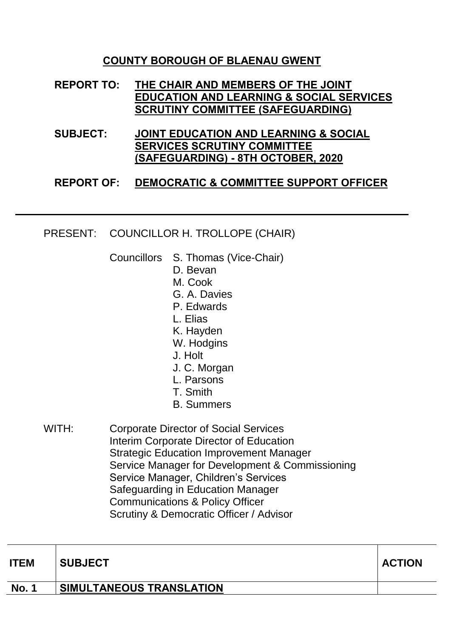## **COUNTY BOROUGH OF BLAENAU GWENT**

## **REPORT TO: THE CHAIR AND MEMBERS OF THE JOINT EDUCATION AND LEARNING & SOCIAL SERVICES SCRUTINY COMMITTEE (SAFEGUARDING)**

**SUBJECT: JOINT EDUCATION AND LEARNING & SOCIAL SERVICES SCRUTINY COMMITTEE (SAFEGUARDING) - 8TH OCTOBER, 2020**

## **REPORT OF: DEMOCRATIC & COMMITTEE SUPPORT OFFICER**

## PRESENT: COUNCILLOR H. TROLLOPE (CHAIR)

- Councillors S. Thomas (Vice-Chair)
	- D. Bevan
	- M. Cook
	- G. A. Davies
	- P. Edwards
	- L. Elias
	- K. Hayden
	- W. Hodgins
	- J. Holt
	- J. C. Morgan
	- L. Parsons
	- T. Smith
	- B. Summers
- WITH: Corporate Director of Social Services Interim Corporate Director of Education Strategic Education Improvement Manager Service Manager for Development & Commissioning Service Manager, Children's Services Safeguarding in Education Manager Communications & Policy Officer Scrutiny & Democratic Officer / Advisor

| <b>ITEM</b>  | <b>SUBJECT</b>                  | <b>ACTION</b> |
|--------------|---------------------------------|---------------|
| <b>No. 1</b> | <b>SIMULTANEOUS TRANSLATION</b> |               |
|              |                                 |               |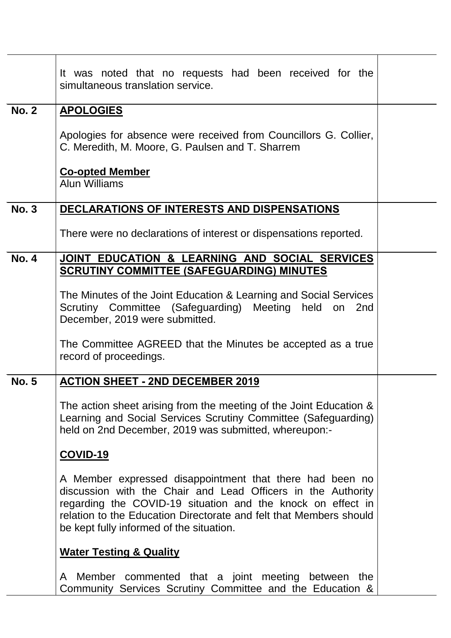|              | It was noted that no requests had been received for the<br>simultaneous translation service.                                                                                                                                                                                                              |  |
|--------------|-----------------------------------------------------------------------------------------------------------------------------------------------------------------------------------------------------------------------------------------------------------------------------------------------------------|--|
| <b>No. 2</b> | <b>APOLOGIES</b>                                                                                                                                                                                                                                                                                          |  |
|              | Apologies for absence were received from Councillors G. Collier,<br>C. Meredith, M. Moore, G. Paulsen and T. Sharrem                                                                                                                                                                                      |  |
|              | <b>Co-opted Member</b><br><b>Alun Williams</b>                                                                                                                                                                                                                                                            |  |
| <b>No. 3</b> | DECLARATIONS OF INTERESTS AND DISPENSATIONS                                                                                                                                                                                                                                                               |  |
|              | There were no declarations of interest or dispensations reported.                                                                                                                                                                                                                                         |  |
| <b>No. 4</b> | JOINT EDUCATION & LEARNING AND SOCIAL SERVICES                                                                                                                                                                                                                                                            |  |
|              | <b>SCRUTINY COMMITTEE (SAFEGUARDING) MINUTES</b>                                                                                                                                                                                                                                                          |  |
|              | The Minutes of the Joint Education & Learning and Social Services<br>Scrutiny Committee (Safeguarding) Meeting held on 2nd<br>December, 2019 were submitted.                                                                                                                                              |  |
|              | The Committee AGREED that the Minutes be accepted as a true<br>record of proceedings.                                                                                                                                                                                                                     |  |
| <b>No. 5</b> | <b>ACTION SHEET - 2ND DECEMBER 2019</b>                                                                                                                                                                                                                                                                   |  |
|              | The action sheet arising from the meeting of the Joint Education &<br>Learning and Social Services Scrutiny Committee (Safeguarding)<br>held on 2nd December, 2019 was submitted, whereupon:-                                                                                                             |  |
|              | <b>COVID-19</b>                                                                                                                                                                                                                                                                                           |  |
|              | A Member expressed disappointment that there had been no<br>discussion with the Chair and Lead Officers in the Authority<br>regarding the COVID-19 situation and the knock on effect in<br>relation to the Education Directorate and felt that Members should<br>be kept fully informed of the situation. |  |
|              | <b>Water Testing &amp; Quality</b>                                                                                                                                                                                                                                                                        |  |
|              | A Member commented that a joint meeting between the<br>Community Services Scrutiny Committee and the Education &                                                                                                                                                                                          |  |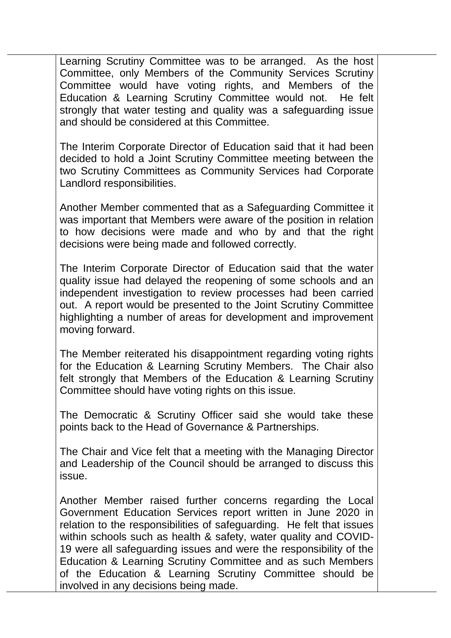Learning Scrutiny Committee was to be arranged. As the host Committee, only Members of the Community Services Scrutiny Committee would have voting rights, and Members of the Education & Learning Scrutiny Committee would not. He felt strongly that water testing and quality was a safeguarding issue and should be considered at this Committee.

The Interim Corporate Director of Education said that it had been decided to hold a Joint Scrutiny Committee meeting between the two Scrutiny Committees as Community Services had Corporate Landlord responsibilities.

Another Member commented that as a Safeguarding Committee it was important that Members were aware of the position in relation to how decisions were made and who by and that the right decisions were being made and followed correctly.

The Interim Corporate Director of Education said that the water quality issue had delayed the reopening of some schools and an independent investigation to review processes had been carried out. A report would be presented to the Joint Scrutiny Committee highlighting a number of areas for development and improvement moving forward.

The Member reiterated his disappointment regarding voting rights for the Education & Learning Scrutiny Members. The Chair also felt strongly that Members of the Education & Learning Scrutiny Committee should have voting rights on this issue.

The Democratic & Scrutiny Officer said she would take these points back to the Head of Governance & Partnerships.

The Chair and Vice felt that a meeting with the Managing Director and Leadership of the Council should be arranged to discuss this issue.

Another Member raised further concerns regarding the Local Government Education Services report written in June 2020 in relation to the responsibilities of safeguarding. He felt that issues within schools such as health & safety, water quality and COVID-19 were all safeguarding issues and were the responsibility of the Education & Learning Scrutiny Committee and as such Members of the Education & Learning Scrutiny Committee should be involved in any decisions being made.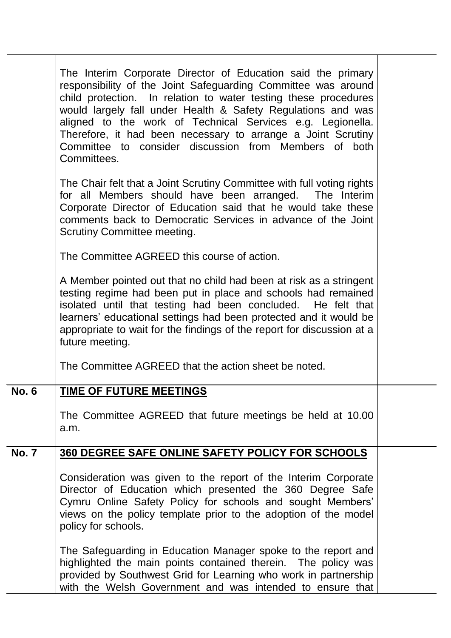|              | The Interim Corporate Director of Education said the primary<br>responsibility of the Joint Safeguarding Committee was around<br>child protection. In relation to water testing these procedures<br>would largely fall under Health & Safety Regulations and was<br>aligned to the work of Technical Services e.g. Legionella.<br>Therefore, it had been necessary to arrange a Joint Scrutiny<br>Committee to consider discussion from Members of both<br>Committees. |  |
|--------------|------------------------------------------------------------------------------------------------------------------------------------------------------------------------------------------------------------------------------------------------------------------------------------------------------------------------------------------------------------------------------------------------------------------------------------------------------------------------|--|
|              | The Chair felt that a Joint Scrutiny Committee with full voting rights<br>for all Members should have been arranged. The Interim<br>Corporate Director of Education said that he would take these<br>comments back to Democratic Services in advance of the Joint<br><b>Scrutiny Committee meeting.</b>                                                                                                                                                                |  |
|              | The Committee AGREED this course of action.                                                                                                                                                                                                                                                                                                                                                                                                                            |  |
|              | A Member pointed out that no child had been at risk as a stringent<br>testing regime had been put in place and schools had remained<br>isolated until that testing had been concluded. He felt that<br>learners' educational settings had been protected and it would be<br>appropriate to wait for the findings of the report for discussion at a<br>future meeting.                                                                                                  |  |
|              | The Committee AGREED that the action sheet be noted.                                                                                                                                                                                                                                                                                                                                                                                                                   |  |
| <b>No. 6</b> | <b>TIME OF FUTURE MEETINGS</b>                                                                                                                                                                                                                                                                                                                                                                                                                                         |  |
|              | The Committee AGREED that future meetings be held at 10.00<br>a.m.                                                                                                                                                                                                                                                                                                                                                                                                     |  |
| <b>No. 7</b> | 360 DEGREE SAFE ONLINE SAFETY POLICY FOR SCHOOLS                                                                                                                                                                                                                                                                                                                                                                                                                       |  |
|              | Consideration was given to the report of the Interim Corporate<br>Director of Education which presented the 360 Degree Safe<br>Cymru Online Safety Policy for schools and sought Members'<br>views on the policy template prior to the adoption of the model<br>policy for schools.                                                                                                                                                                                    |  |
|              | The Safeguarding in Education Manager spoke to the report and<br>highlighted the main points contained therein. The policy was<br>provided by Southwest Grid for Learning who work in partnership<br>with the Welsh Government and was intended to ensure that                                                                                                                                                                                                         |  |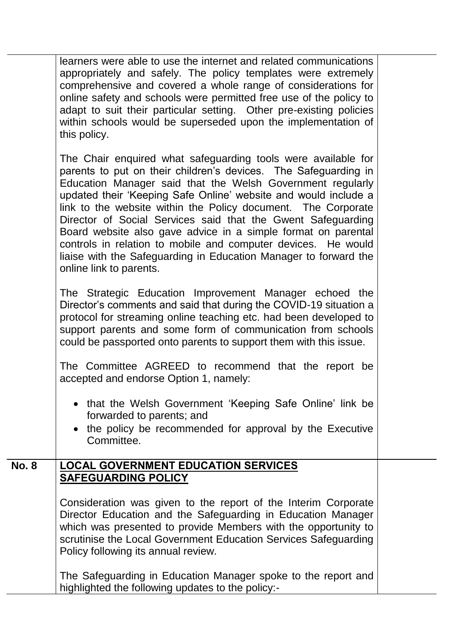|              | learners were able to use the internet and related communications<br>appropriately and safely. The policy templates were extremely<br>comprehensive and covered a whole range of considerations for<br>online safety and schools were permitted free use of the policy to<br>adapt to suit their particular setting. Other pre-existing policies<br>within schools would be superseded upon the implementation of<br>this policy.                                                                                                                                                                                                   |  |
|--------------|-------------------------------------------------------------------------------------------------------------------------------------------------------------------------------------------------------------------------------------------------------------------------------------------------------------------------------------------------------------------------------------------------------------------------------------------------------------------------------------------------------------------------------------------------------------------------------------------------------------------------------------|--|
|              | The Chair enquired what safeguarding tools were available for<br>parents to put on their children's devices. The Safeguarding in<br>Education Manager said that the Welsh Government regularly<br>updated their 'Keeping Safe Online' website and would include a<br>link to the website within the Policy document. The Corporate<br>Director of Social Services said that the Gwent Safeguarding<br>Board website also gave advice in a simple format on parental<br>controls in relation to mobile and computer devices. He would<br>liaise with the Safeguarding in Education Manager to forward the<br>online link to parents. |  |
|              | The Strategic Education Improvement Manager echoed the<br>Director's comments and said that during the COVID-19 situation a<br>protocol for streaming online teaching etc. had been developed to<br>support parents and some form of communication from schools<br>could be passported onto parents to support them with this issue.                                                                                                                                                                                                                                                                                                |  |
|              | The Committee AGREED to recommend that the report be<br>accepted and endorse Option 1, namely:                                                                                                                                                                                                                                                                                                                                                                                                                                                                                                                                      |  |
|              | • that the Welsh Government 'Keeping Safe Online' link be<br>forwarded to parents; and<br>• the policy be recommended for approval by the Executive<br>Committee.                                                                                                                                                                                                                                                                                                                                                                                                                                                                   |  |
| <b>No. 8</b> | <b>LOCAL GOVERNMENT EDUCATION SERVICES</b>                                                                                                                                                                                                                                                                                                                                                                                                                                                                                                                                                                                          |  |
|              | <b>SAFEGUARDING POLICY</b>                                                                                                                                                                                                                                                                                                                                                                                                                                                                                                                                                                                                          |  |
|              | Consideration was given to the report of the Interim Corporate<br>Director Education and the Safeguarding in Education Manager<br>which was presented to provide Members with the opportunity to<br>scrutinise the Local Government Education Services Safeguarding<br>Policy following its annual review.                                                                                                                                                                                                                                                                                                                          |  |
|              | The Safeguarding in Education Manager spoke to the report and<br>highlighted the following updates to the policy:-                                                                                                                                                                                                                                                                                                                                                                                                                                                                                                                  |  |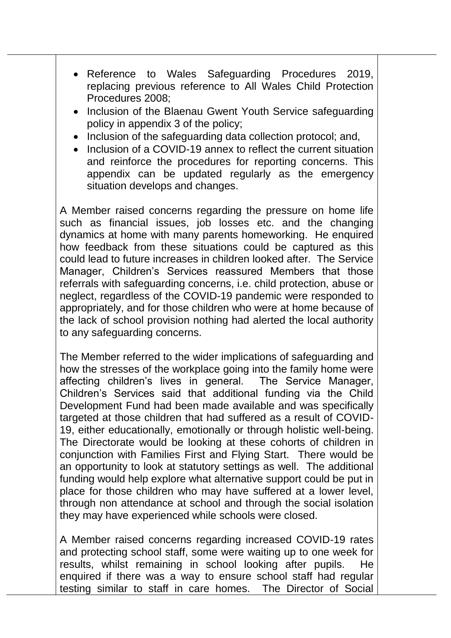- Reference to Wales Safeguarding Procedures 2019, replacing previous reference to All Wales Child Protection Procedures 2008;
- Inclusion of the Blaenau Gwent Youth Service safeguarding policy in appendix 3 of the policy;
- Inclusion of the safeguarding data collection protocol; and,
- Inclusion of a COVID-19 annex to reflect the current situation and reinforce the procedures for reporting concerns. This appendix can be updated regularly as the emergency situation develops and changes.

A Member raised concerns regarding the pressure on home life such as financial issues, job losses etc. and the changing dynamics at home with many parents homeworking. He enquired how feedback from these situations could be captured as this could lead to future increases in children looked after. The Service Manager, Children's Services reassured Members that those referrals with safeguarding concerns, i.e. child protection, abuse or neglect, regardless of the COVID-19 pandemic were responded to appropriately, and for those children who were at home because of the lack of school provision nothing had alerted the local authority to any safeguarding concerns.

The Member referred to the wider implications of safeguarding and how the stresses of the workplace going into the family home were affecting children's lives in general. The Service Manager, Children's Services said that additional funding via the Child Development Fund had been made available and was specifically targeted at those children that had suffered as a result of COVID-19, either educationally, emotionally or through holistic well-being. The Directorate would be looking at these cohorts of children in conjunction with Families First and Flying Start. There would be an opportunity to look at statutory settings as well. The additional funding would help explore what alternative support could be put in place for those children who may have suffered at a lower level, through non attendance at school and through the social isolation they may have experienced while schools were closed.

A Member raised concerns regarding increased COVID-19 rates and protecting school staff, some were waiting up to one week for results, whilst remaining in school looking after pupils. He enquired if there was a way to ensure school staff had regular testing similar to staff in care homes. The Director of Social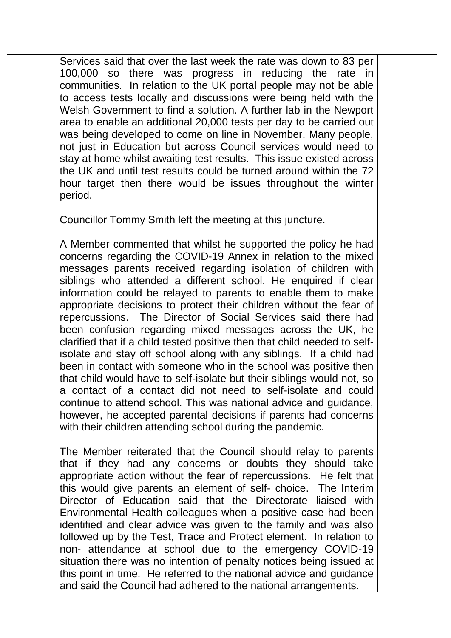Services said that over the last week the rate was down to 83 per 100,000 so there was progress in reducing the rate in communities. In relation to the UK portal people may not be able to access tests locally and discussions were being held with the Welsh Government to find a solution. A further lab in the Newport area to enable an additional 20,000 tests per day to be carried out was being developed to come on line in November. Many people, not just in Education but across Council services would need to stay at home whilst awaiting test results. This issue existed across the UK and until test results could be turned around within the 72 hour target then there would be issues throughout the winter period.

Councillor Tommy Smith left the meeting at this juncture.

A Member commented that whilst he supported the policy he had concerns regarding the COVID-19 Annex in relation to the mixed messages parents received regarding isolation of children with siblings who attended a different school. He enquired if clear information could be relayed to parents to enable them to make appropriate decisions to protect their children without the fear of repercussions. The Director of Social Services said there had been confusion regarding mixed messages across the UK, he clarified that if a child tested positive then that child needed to selfisolate and stay off school along with any siblings. If a child had been in contact with someone who in the school was positive then that child would have to self-isolate but their siblings would not, so a contact of a contact did not need to self-isolate and could continue to attend school. This was national advice and guidance, however, he accepted parental decisions if parents had concerns with their children attending school during the pandemic.

The Member reiterated that the Council should relay to parents that if they had any concerns or doubts they should take appropriate action without the fear of repercussions. He felt that this would give parents an element of self- choice. The Interim Director of Education said that the Directorate liaised with Environmental Health colleagues when a positive case had been identified and clear advice was given to the family and was also followed up by the Test, Trace and Protect element. In relation to non- attendance at school due to the emergency COVID-19 situation there was no intention of penalty notices being issued at this point in time. He referred to the national advice and guidance and said the Council had adhered to the national arrangements.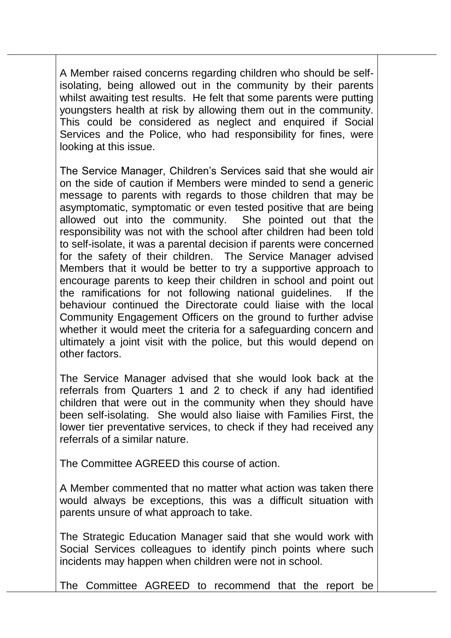A Member raised concerns regarding children who should be selfisolating, being allowed out in the community by their parents whilst awaiting test results. He felt that some parents were putting youngsters health at risk by allowing them out in the community. This could be considered as neglect and enquired if Social Services and the Police, who had responsibility for fines, were looking at this issue.

The Service Manager, Children's Services said that she would air on the side of caution if Members were minded to send a generic message to parents with regards to those children that may be asymptomatic, symptomatic or even tested positive that are being allowed out into the community. She pointed out that the responsibility was not with the school after children had been told to self-isolate, it was a parental decision if parents were concerned for the safety of their children. The Service Manager advised Members that it would be better to try a supportive approach to encourage parents to keep their children in school and point out the ramifications for not following national guidelines. If the behaviour continued the Directorate could liaise with the local Community Engagement Officers on the ground to further advise whether it would meet the criteria for a safeguarding concern and ultimately a joint visit with the police, but this would depend on other factors.

The Service Manager advised that she would look back at the referrals from Quarters 1 and 2 to check if any had identified children that were out in the community when they should have been self-isolating. She would also liaise with Families First, the lower tier preventative services, to check if they had received any referrals of a similar nature.

The Committee AGREED this course of action.

A Member commented that no matter what action was taken there would always be exceptions, this was a difficult situation with parents unsure of what approach to take.

The Strategic Education Manager said that she would work with Social Services colleagues to identify pinch points where such incidents may happen when children were not in school.

The Committee AGREED to recommend that the report be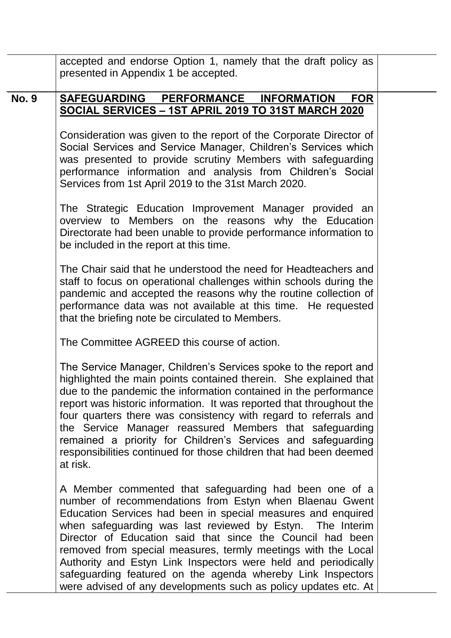|              | accepted and endorse Option 1, namely that the draft policy as                                                                                                                                                                                                                                                                                                                                                                                                                                                                                                                    |  |
|--------------|-----------------------------------------------------------------------------------------------------------------------------------------------------------------------------------------------------------------------------------------------------------------------------------------------------------------------------------------------------------------------------------------------------------------------------------------------------------------------------------------------------------------------------------------------------------------------------------|--|
|              | presented in Appendix 1 be accepted.                                                                                                                                                                                                                                                                                                                                                                                                                                                                                                                                              |  |
| <b>No. 9</b> | SAFEGUARDING PERFORMANCE<br><b>INFORMATION</b><br><b>FOR</b>                                                                                                                                                                                                                                                                                                                                                                                                                                                                                                                      |  |
|              | SOCIAL SERVICES - 1ST APRIL 2019 TO 31ST MARCH 2020                                                                                                                                                                                                                                                                                                                                                                                                                                                                                                                               |  |
|              | Consideration was given to the report of the Corporate Director of<br>Social Services and Service Manager, Children's Services which<br>was presented to provide scrutiny Members with safeguarding<br>performance information and analysis from Children's Social<br>Services from 1st April 2019 to the 31st March 2020.                                                                                                                                                                                                                                                        |  |
|              | The Strategic Education Improvement Manager provided an<br>overview to Members on the reasons why the Education<br>Directorate had been unable to provide performance information to<br>be included in the report at this time.                                                                                                                                                                                                                                                                                                                                                   |  |
|              | The Chair said that he understood the need for Headteachers and<br>staff to focus on operational challenges within schools during the<br>pandemic and accepted the reasons why the routine collection of<br>performance data was not available at this time. He requested<br>that the briefing note be circulated to Members.                                                                                                                                                                                                                                                     |  |
|              | The Committee AGREED this course of action.                                                                                                                                                                                                                                                                                                                                                                                                                                                                                                                                       |  |
|              | The Service Manager, Children's Services spoke to the report and<br>highlighted the main points contained therein. She explained that<br>due to the pandemic the information contained in the performance<br>report was historic information. It was reported that throughout the<br>four quarters there was consistency with regard to referrals and<br>the Service Manager reassured Members that safeguarding<br>remained a priority for Children's Services and safeguarding<br>responsibilities continued for those children that had been deemed<br>at risk.                |  |
|              | A Member commented that safeguarding had been one of a<br>number of recommendations from Estyn when Blaenau Gwent<br>Education Services had been in special measures and enquired<br>when safeguarding was last reviewed by Estyn. The Interim<br>Director of Education said that since the Council had been<br>removed from special measures, termly meetings with the Local<br>Authority and Estyn Link Inspectors were held and periodically<br>safeguarding featured on the agenda whereby Link Inspectors<br>were advised of any developments such as policy updates etc. At |  |
|              |                                                                                                                                                                                                                                                                                                                                                                                                                                                                                                                                                                                   |  |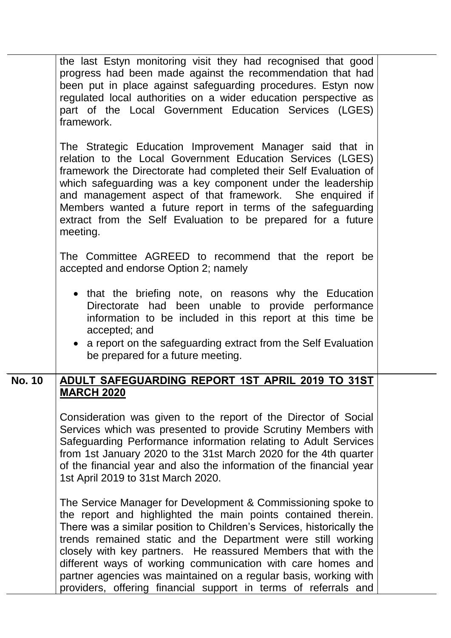|               | the last Estyn monitoring visit they had recognised that good<br>progress had been made against the recommendation that had<br>been put in place against safeguarding procedures. Estyn now<br>regulated local authorities on a wider education perspective as<br>part of the Local Government Education Services (LGES)<br>framework.                                                                                                                                                                                                        |  |
|---------------|-----------------------------------------------------------------------------------------------------------------------------------------------------------------------------------------------------------------------------------------------------------------------------------------------------------------------------------------------------------------------------------------------------------------------------------------------------------------------------------------------------------------------------------------------|--|
|               | The Strategic Education Improvement Manager said that in<br>relation to the Local Government Education Services (LGES)<br>framework the Directorate had completed their Self Evaluation of<br>which safeguarding was a key component under the leadership<br>and management aspect of that framework. She enquired if<br>Members wanted a future report in terms of the safeguarding<br>extract from the Self Evaluation to be prepared for a future<br>meeting.                                                                              |  |
|               | The Committee AGREED to recommend that the report be<br>accepted and endorse Option 2; namely                                                                                                                                                                                                                                                                                                                                                                                                                                                 |  |
|               | • that the briefing note, on reasons why the Education<br>Directorate had been unable to provide performance<br>information to be included in this report at this time be<br>accepted; and<br>• a report on the safeguarding extract from the Self Evaluation<br>be prepared for a future meeting.                                                                                                                                                                                                                                            |  |
| <b>No. 10</b> | ADULT SAFEGUARDING REPORT 1ST APRIL 2019 TO 31ST                                                                                                                                                                                                                                                                                                                                                                                                                                                                                              |  |
|               | <b>MARCH 2020</b><br>Consideration was given to the report of the Director of Social<br>Services which was presented to provide Scrutiny Members with<br>Safeguarding Performance information relating to Adult Services<br>from 1st January 2020 to the 31st March 2020 for the 4th quarter<br>of the financial year and also the information of the financial year<br>1st April 2019 to 31st March 2020.                                                                                                                                    |  |
|               | The Service Manager for Development & Commissioning spoke to<br>the report and highlighted the main points contained therein.<br>There was a similar position to Children's Services, historically the<br>trends remained static and the Department were still working<br>closely with key partners. He reassured Members that with the<br>different ways of working communication with care homes and<br>partner agencies was maintained on a regular basis, working with<br>providers, offering financial support in terms of referrals and |  |